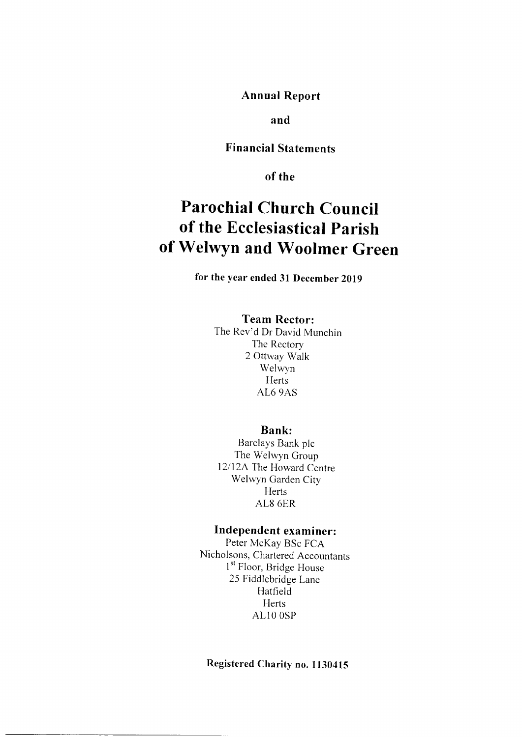Annual Report

and

Financial Statements

of the

## Parochial Church Council of the Ecclesiastical Parish of Welwyn and Woolmer Green

for the year ended 31 December 2019

## Team Rector:

The Rev'd Dr David Munchin The Rectory 2 Ottway Walk Welwyn Herts AL6 9AS

## Bank:

Barclays Bank plc The Welwyn Group 12/l2A The Howard Centre Welwyn Garden City Herts AL8 6ER

## Independent examiner:

Peter McKay BSc FCA Nicholsons, Chartered Accountants <sup>1st</sup> Floor, Bridge House 25 Fiddlebridge Lane Hatfield Herts ALlO OSP

## Registered Charity no. 1130415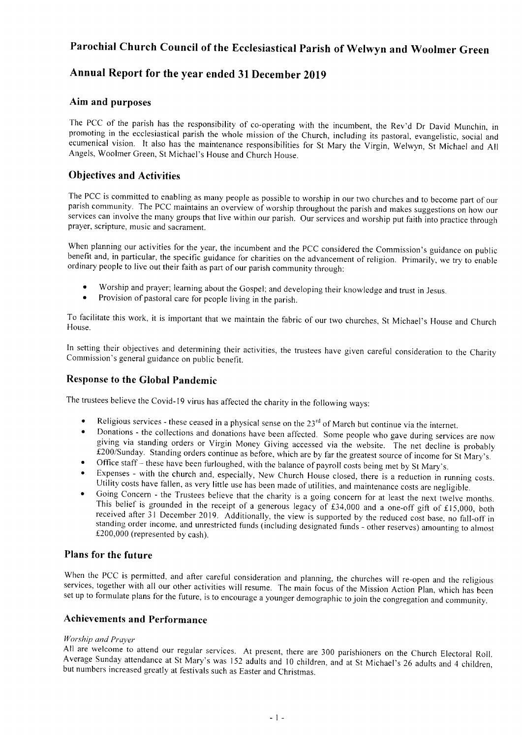## Annual Report for the year ended 3l December Z0l9

### Aim and purposes

The PCC of the parish has the responsibility of co-operating with the incumbent, the Rev'd Dr David Munchin, in<br>promoting in the ecclesiastical parish the whole mission of the Church, including its pastoral, evangelistic, ecumenical vision. It also has the maintenance responsibilities for St Mary the Virgin, Welwyn, St Michael and All Angels, Woolmer Green, St Michael's House and Church House.

## Objectives and Activities

The PCC is committed to enabling as many people as possible to worship in our two churches and to become part of our parish community. The PCC maintains an overview of worship throughout the parish and makes suggestions on services can involve the many groups that live within our parish. Our services and worship put faith into practice through prayer, scripture, music and sacrament.

When planning our activities for the year, the incumbent and the PCC considered the Commission's guidance on public benefit and, in particular, the specific guidance for charities on the advancement of religion. Primarily, we try to enable ordinary people to live out their faith as part of our parish community through:

- Worship and prayer; learning about the Gospel; and developing their knowledge and trust in Jesus. Provision of pastoral care for people living in the parish.
- 

To facilitate this work, it is important that we maintain the fabric of our two churches, St Michael's House and Church House.

In setting their objectives and detennining their activities, the trustees have given careful consideration to the Charity Commission's general guidance on public benefit.

## Response to the Global Pandemic

The trustees believe the Covid-19 virus has affected the charity in the following ways:

- 
- Religious services these ceased in a physical sense on the  $23^{rd}$  of March but continue via the internet.<br>Donations the collections and donations have been affected. Some people who gave during services are now givin
- 
- Office staff these have been furloughed, with the balance of payroll costs being met by St Mary's.<br>Expenses with the church and, especially, New Church House closed, there is a reduction in running costs.
- Utility costs have fallen, as very little use has been made of utilities, and maintenance costs are negligible.<br>Going Concern the Trustees believe that the charity is a going concern for at least the next twelve months.<br> version<br>21 Decem This belief is grounded in the receipt of a generous legacy of £34,000 and a one-off gift of £15,000, both received after 31 December 2019. Additionally, the view is supported by the reduced cost base, no fall-off in stan

### Plans for the future

When the PCC is permitted, and after careful consideration and planning, the churches will re-open and the religious services, together with all our other activities will resume. The main focus of the Mission Action Plan,

### Achievements and Performance

Worship and Prayer<br>All are welcome to attend our regular services. At present, there are 300 parishioners on the Church Electoral Roll. Average Sunday attendance at St Mary's was 152 adults and 10 children, and at St Michael's 26 adults and 4 children, but numbers increased greatly at festivals such as Easter and Christmas.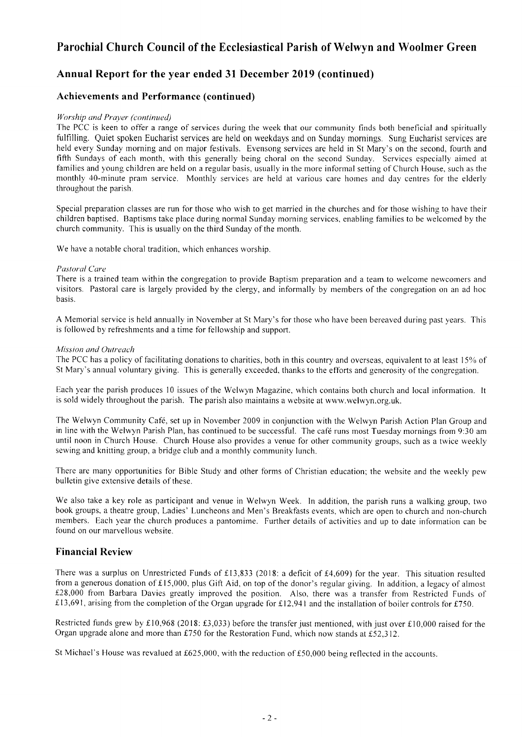## Annual Report for the year ended 31 December 2019 (continued)

## Achievements and Performance (continued)

#### Worship and Prayer (continued)

The PCC is keen to offer a range of services during the week that our community finds both beneficial and spiritually fulfilling. Quiet spoken Eucharist services are held on weekdays and on Sunday momings. Sung Eucharist services are held every Sunday morning and on major festivals. Evensong services are held in St Mary's on the second, fourth and fifth Sundays of each month, with this generally being choral on the second Sunday. Services especially aimed at families and young children are held on a regular basis, usually in the more inforrnal setting of Church House, such as the monthly 40-minute pram service. Monthly services are held at various care homes and day centres for the elderly throughout the parish.

Special preparation classes are run for those who wish to get married in the churches and for those wishing to have their children baptised. Baptisms take place during normal Sunday morning services, enabling families to be welcomed by the church community. This is usually on the third Sunday of the month.

We have a notable choral tradition, which enhances worship.

#### Pustoral Care

There is a trained team within the congregation to provide Baptism preparation and a tearn to welcome newcomers and visitors. Pastoral care is largely provided by the clergy, and informally by merrbers of the congregation on an ad hoc basis.

A Memorial service is held annually in November at St Mary's for those who have been bereaved during past years. This is followed by refreshments and a time for fellowship and support.

#### Mission and Outreach

The PCC has a policy of facilitating donations to charities, both in this country and overseas, equivalent to at least 15% of St Mary's annual voluntary giving. This is generally exceeded, thanks to the efforts and generosity of the congregation.

Each year the parish produces l0 issues of the Welwyn Magazine, which contains both church and local information. It is sold widely throughout the parish. The parish also maintains a website at www.welwyn.org.uk.

The Welwyn Community Cafe, set up in November 2009 in conjunction with the Welwyn Parish Action PIan Group and in line with the Welwyn Parish Plan, has continued to be successful. The café runs most Tuesday mornings from 9:30 am until noon in Church House. Church House also provides a venue for other community groups, such as a twice weekly sewing and knitting group, a bridge club and a monthly community lunch.

There are many opportunities for Bible Study and other forms of Christian education; the website and the weekly pew bulletin give extensive details of these.

We also take a key role as participant and venue in Welwyn Week. In addition, the parish runs a walking group, two book groups, a theatre group, Ladies' Luncheons and Men's Breakfasts events, which are open to church and non-church members. Each year the church produces a pantomime. Further details of activities and up to date information can be found on our marvellous website.

## Financial Review

There was a surplus on Unrestricted Funds of £13,833 (2018: a deficit of £4,609) for the year. This situation resulted from a generous donation of £15,000, plus Gift Aid, on top of the donor's regular giving. In addition, a legacy of almost  $£28,000$  from Barbara Davies greatly improved the position. Also, there was a transfer from Restricted Funds of £13,691, arising from the completion of the Organ upgrade for £12,941 and the installation of boiler controls for £750.

Restricted funds grew by £10,968 (2018: £3,033) before the transfer just mentioned, with just over £10,000 raised for the Organ upgrade alone and more than £750 for the Restoration Fund, which now stands at £52.312.

St Michael's House was revalued at £625,000, with the reduction of £50,000 being reflected in the accounts.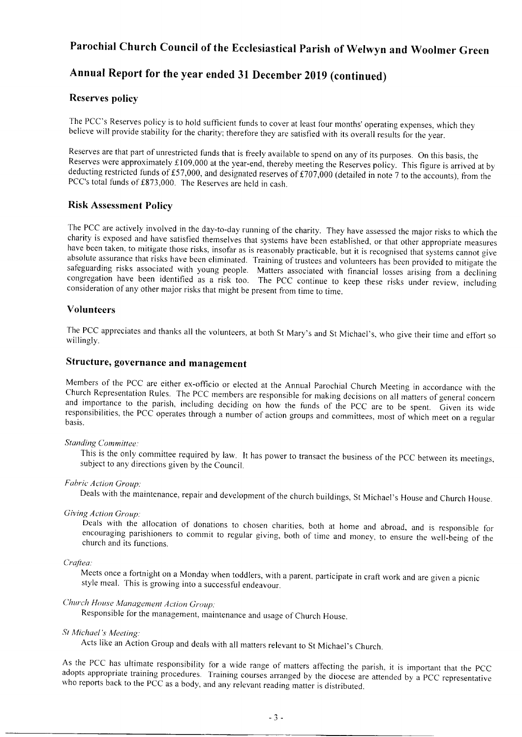## Annual Report for the year ended 3l December 2019 (continued)

### Reserves policy

The PCC's Reserves policy is to hold sufficient funds to cover at least four months'operating expenses, which they believe will provide stability for the charity; therefore they are satisfied with its overall results for the year.

Reserves are that part of unrestricted funds that is freely available to spend on any of its purposes. On this basis, the Reserves were approximately £109,000 at the year-end, thereby meeting the Reserves policy. This figu deducting restricted funds of £57,000, and designated reserves of £707,000 (detailed in note 7 to the accounts), from the PCC's total funds of £873,000. The Reserves are held in cash.

## Risk Assessment Policy

The PCC are actively involved in the day-to-day running of the charity. They have assessed the major risks to which the charity is exposed and have satisfied themselves that systems have been established, or that other app

### Volunteers

The PCC appreciates and thanks all the volunteers, at both St Mary's and St Michael's, who give their time and effoft so willingly.

## Structure, governance and management

Members of the PCC are either ex-officio or elected at the Annual Parochial Church Meeting in accordance with the Church Representation Rules. The PCC members are responsible for making decisions on all matters of general

#### Standing Committee;

This is the only committee required by law. It has power to transact the business of the pcc between its meetings, subject to any directions given by the Council.

#### Fabric Action Group:

Deals with the maintenance, repair and development of the church buildings, St Michael's House and Church House.

Giving Action Group:<br>Deals with the allocation of donations to chosen charities, both at home and abroad, and is responsible for encouraging parishioners to commit to regular giving, both of time and money, to ensure the well-being of the church and its functions.

#### Craftea:

Meets once a fortnight on a Monday when toddlers, with a parent, participate in craft work and are given a picnic style meal. This is growing into a successful endeavour.

### Church House Management Action Group:

Responsible for the management, maintenance and usage of Church House.

#### St Michael's Meeting:

Acts like an Action Group and deals with all matters relevant to St Michael's Church.

As the PCC has ultimate responsibility for a wide range of matters affecting the parish, it is<br>adopts appropriate training procedures. Training courses arranged by the diocese are attended<br>who reports back to the PCC as a As the PCC has ultimate responsibility for a wide range of matters affecting the parish, it is important that the PCC by a PCC representative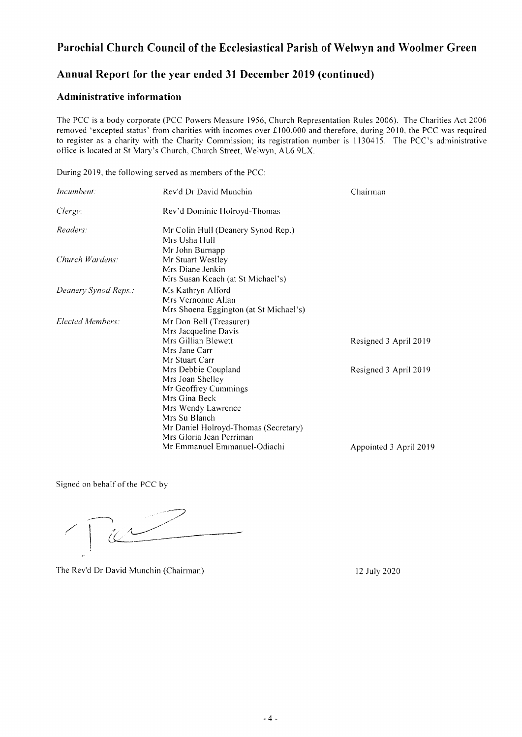## Annual Report for the year ended 31 December 2019 (continued)

### Administrative information

The PCC is a body corporate (PCC Powers Measure 1956, Church Representation Rules 2006). The Charities Act 2006 removed 'excepted status' from charities with incomes over  $£100,000$  and therefore, during 2010, the PCC was required to register as a charity with the Charity Commission; its registration number is 1130415. The PCC's administrative office is located at St Mary's Church, Church Street, Welwyn, AL6 9LX.

During 2019, the following served as members of the PCC:

| Incumbent:           | Rev'd Dr David Munchin                 | Chairman               |
|----------------------|----------------------------------------|------------------------|
| Clergy:              | Rev'd Dominic Holroyd-Thomas           |                        |
| Readers:             | Mr Colin Hull (Deanery Synod Rep.)     |                        |
|                      | Mrs Usha Hull                          |                        |
|                      | Mr John Burnapp                        |                        |
| Church Wardens:      | Mr Stuart Westley                      |                        |
|                      | Mrs Diane Jenkin                       |                        |
|                      | Mrs Susan Keach (at St Michael's)      |                        |
| Deanery Synod Reps.: | Ms Kathryn Alford                      |                        |
|                      | Mrs Vernonne Allan                     |                        |
|                      | Mrs Shoena Eggington (at St Michael's) |                        |
| Elected Members:     | Mr Don Bell (Treasurer)                |                        |
|                      | Mrs Jacqueline Davis                   |                        |
|                      | Mrs Gillian Blewett                    | Resigned 3 April 2019  |
|                      | Mrs Jane Carr                          |                        |
|                      | Mr Stuart Carr                         |                        |
|                      | Mrs Debbie Coupland                    | Resigned 3 April 2019  |
|                      | Mrs Joan Shelley                       |                        |
|                      | Mr Geoffrey Cummings                   |                        |
|                      | Mrs Gina Beck                          |                        |
|                      | Mrs Wendy Lawrence                     |                        |
|                      | Mrs Su Blanch                          |                        |
|                      | Mr Daniel Holroyd-Thomas (Secretary)   |                        |
|                      | Mrs Gloria Jean Perriman               |                        |
|                      | Mr Emmanuel Emmanuel-Odiachi           | Appointed 3 April 2019 |

Signed on behalf of the PCC by

 $\bigg)$  $\& \_{}^{\prime} \_{}^{\prime}$ 

The Rev'd Dr David Munchin (Chairman) 12 July 2020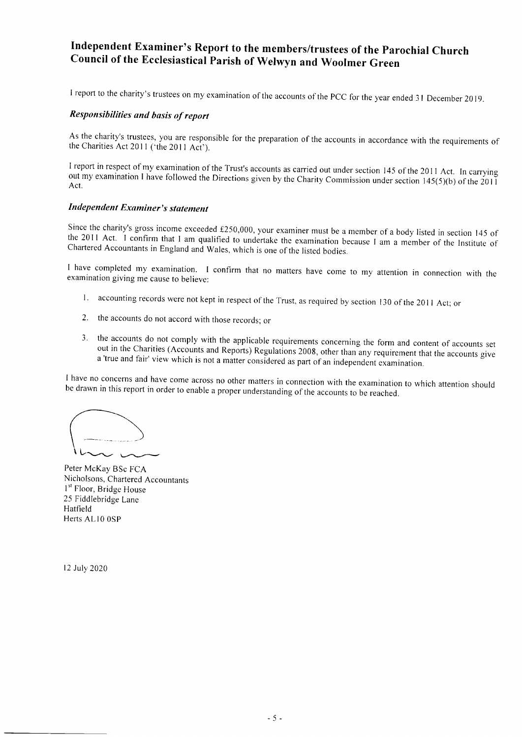# Independent Examiner's Report to the members/trustees of the parochial Church Council of the Ecclesiastical parish of welwyn and woolmer Green

I report to the charity's trustees on my examination of the accounts of the PCC for the year ended 31 December 2019.

### Responsibilities and bosis of report

As the charity's trustees, you are responsible for the preparation of the accounts in accordance with the requirements of the Charities Act 2011 ('the 2011 Act').

I report in respect of my examination of the Trust's accounts as carried out under section 145 of the 2011 Act. In carrying out my examination I have followed the Directions given by the Charity Commission under section 14

#### Independent Examiner's statement

Since the charity's gross income exceeded £250,000, your examiner must be a member of a body listed in section 145 of the 2011 Act. I confirm that I am qualified to undertake the examination because I am a member of the In

I have completed my examination. I confirm that no matters have come to my attention in connection with the examination giving me cause to believe:

- 1. accounting records were not kept in respect of the Trust, as required by section 130 of the 2011 Act; or
- 2. the accounts do not accord with those records; or
- 3. the accounts do not comply with the applicable requirements concerning the form and content of accounts set<br>out in the Charities (Accounts and Reports) Regulations 2008, other than any requirement that the accounts give

<sup>I</sup>have no concerns and have come across no other matters in connection with the examination to which attention should be drawn in this report in order to enable a proper understanding ofthe accounts to be reached.

 $\,\overline{\;\;}\,$ 

Nicholsons, Chartered Accountants 1<sup>st</sup> Floor, Bridge House 25 Fiddlebridge Lane Hatfield Herts AL10 0SP Peter McKay BSc FCA

12 July 2020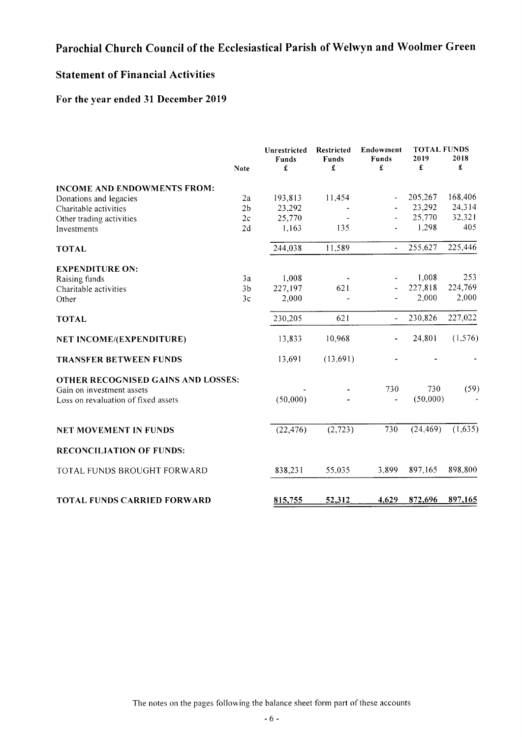## Statement of Financial Activities

## For the year ended 31 December 2019

|                                                                  | <b>Note</b>    | Unrestricted<br>Funds<br>£ | <b>Restricted</b><br><b>Funds</b><br>£ | Endowment<br>Funds<br>£         | <b>TOTAL FUNDS</b><br>2019<br>£ | 2018<br>£ |
|------------------------------------------------------------------|----------------|----------------------------|----------------------------------------|---------------------------------|---------------------------------|-----------|
| <b>INCOME AND ENDOWMENTS FROM:</b>                               |                |                            |                                        |                                 |                                 |           |
| Donations and legacies                                           | 2a             | 193,813                    | 11,454                                 |                                 | 205,267                         | 168,406   |
| Charitable activities                                            | 2 <sub>b</sub> | 23,292                     |                                        |                                 | 23,292                          | 24,314    |
| Other trading activities                                         | 2c             | 25,770                     |                                        |                                 | 25,770                          | 32,321    |
| Investments                                                      | 2d             | 1,163                      | 135                                    |                                 | 1,298                           | 405       |
| <b>TOTAL</b>                                                     |                | 244,038                    | 11,589                                 | $\overline{a}$                  | 255,627                         | 225,446   |
| <b>EXPENDITURE ON:</b>                                           |                |                            |                                        |                                 |                                 |           |
| Raising funds                                                    | 3a             | 1,008                      |                                        |                                 | 1,008                           | 253       |
| Charitable activities                                            | 3 <sub>b</sub> | 227,197                    | 621                                    |                                 | 227,818                         | 224,769   |
| Other                                                            | 3c             | 2,000                      |                                        |                                 | 2,000                           | 2,000     |
| <b>TOTAL</b>                                                     |                | 230,205                    | 621                                    | $\overline{\phantom{a}}$        | 230,826                         | 227,022   |
| NET INCOME/(EXPENDITURE)                                         |                | 13,833                     | 10,968                                 |                                 | 24,801                          | (1, 576)  |
| <b>TRANSFER BETWEEN FUNDS</b>                                    |                | 13,691                     | (13,691)                               |                                 |                                 |           |
| OTHER RECOGNISED GAINS AND LOSSES:                               |                |                            |                                        |                                 | 730                             |           |
| Gain on investment assets<br>Loss on revaluation of fixed assets |                | (50,000)                   |                                        | 730<br>$\overline{\phantom{a}}$ | (50,000)                        | (59)      |
| <b>NET MOVEMENT IN FUNDS</b>                                     |                | (22, 476)                  | (2, 723)                               | 730                             | (24, 469)                       | (1,635)   |
| <b>RECONCILIATION OF FUNDS:</b>                                  |                |                            |                                        |                                 |                                 |           |
| TOTAL FUNDS BROUGHT FORWARD                                      |                | 838,231                    | 55,035                                 | 3,899                           | 897,165                         | 898,800   |
| <b>TOTAL FUNDS CARRIED FORWARD</b>                               |                | 815,755                    | 52,312                                 | 4,629                           | 872,696                         | 897,165   |

The notes on the pages following the balance sheet form part of these accounts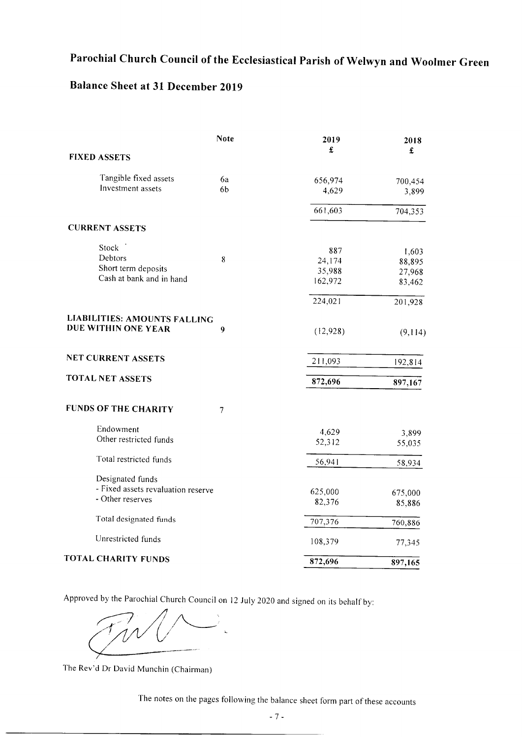## Balance Sheet at 31 December 2019

|                                     | <b>Note</b>    | 2019<br>£ | 2018<br>$\pmb{\pmb{\pmb{\pmb{\cdot}}} }$ |
|-------------------------------------|----------------|-----------|------------------------------------------|
| <b>FIXED ASSETS</b>                 |                |           |                                          |
| Tangible fixed assets               | 6a             | 656,974   | 700,454                                  |
| Investment assets                   | 6 <sub>b</sub> | 4,629     | 3,899                                    |
|                                     |                | 661,603   | 704,353                                  |
| <b>CURRENT ASSETS</b>               |                |           |                                          |
| Stock                               |                | 887       | 1,603                                    |
| Debtors                             | 8              | 24,174    | 88,895                                   |
| Short term deposits                 |                | 35,988    | 27,968                                   |
| Cash at bank and in hand            |                | 162,972   | 83,462                                   |
|                                     |                | 224,021   | 201,928                                  |
| <b>LIABILITIES: AMOUNTS FALLING</b> |                |           |                                          |
| DUE WITHIN ONE YEAR                 | 9              | (12, 928) | (9,114)                                  |
| <b>NET CURRENT ASSETS</b>           |                | 211,093   | 192,814                                  |
| <b>TOTAL NET ASSETS</b>             |                | 872,696   | 897,167                                  |
|                                     |                |           |                                          |
| <b>FUNDS OF THE CHARITY</b>         | 7              |           |                                          |
| Endowment                           |                | 4,629     | 3,899                                    |
| Other restricted funds              |                | 52,312    | 55,035                                   |
| Total restricted funds              |                | 56,941    | 58,934                                   |
| Designated funds                    |                |           |                                          |
| - Fixed assets revaluation reserve  |                | 625,000   | 675,000                                  |
| - Other reserves                    |                | 82,376    | 85,886                                   |
| Total designated funds              |                | 707,376   | 760,886                                  |
| Unrestricted funds                  |                | 108,379   | 77,345                                   |
| TOTAL CHARITY FUNDS                 |                | 872,696   | 897,165                                  |
|                                     |                |           |                                          |

Approved by the Parochial Church Council on l2 July 2020 and signed on its behalf by:

 $(\nearrow^ -$ 

The Rev'd Dr David Munchin (Chairman)

The notes on the pages following the balance sheet form part of these accounts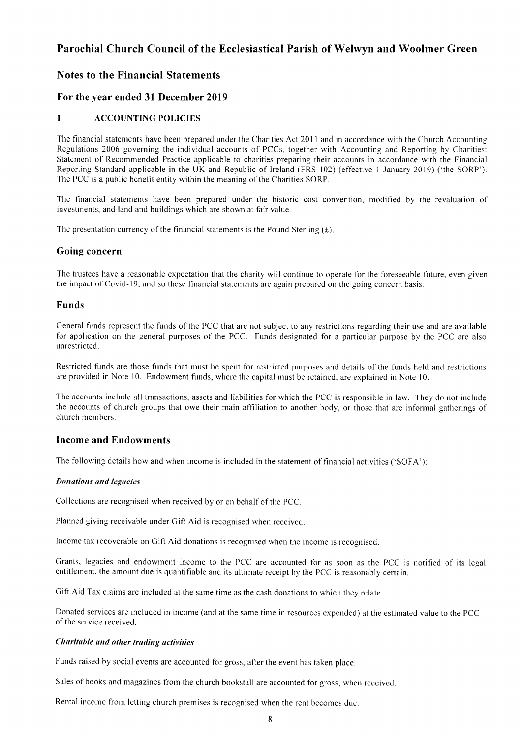## Notes to the Financial Statements

## For the year ended 31 December 2019

### I ACCOUNTING POLICIES

The financial statements have been prepared under the Charities Act 2011 and in accordance with the Church Accounting Regulations 2006 governing the individual accounts of PCCs, together with Accounting and Reporting by Charities: Statement of Recommended Practice applicable to charities preparing their accounts in accordance with the Financial Reporting Standard applicable in the UK and Republic of Ireland (FRS 102) (effective 1 January 2019) ('the SORP'). The PCC is a public benefit entity within the meaning of the Charities SORP.

The financial statements have been prepared under the historic cost convention, modified by the revaluation of investments. and land and buildings which are shown at fair value.

The presentation currency of the financial statements is the Pound Sterling  $(f)$ .

### Going concern

The trustees have a reasonable expectation that the charity will continue to operate for the foreseeable future, even given the impact of Covid-19, and so these financial staternents are again prepared on the going concern basis.

### Funds

General funds represent the funds of the PCC that are not subject to any restrictions regarding their use and are available for application on the general purposes of the PCC. Funds designated for a particular purpose by the PCC are also unrestricted.

Restricted funds are those funds that must be spent for restricted purposes and details of the funds held and restrictions are provided in Note 10. Endowment funds, where the capital must be retained, are explained in Note 10.

The accounts include all transactions, assets and liabilities for which the PCC is responsible in law. They do not include the accounts of church groups that owe their main affiliation to another body, or those that are informal gatherings of church members.

### Income and Endowments

The following details how and when income is included in the statement of financial activities ('SOFA'):

#### **Donations and legacies**

Collections are recognised when received by or on behalf of the PCC.

Planned giving receivable under Gift Aid is recognised when received.

lncome tax recoverable on Gift Aid donations is recognised when the income is recognised.

Grants, legacies and endowrnent income to the PCC are accounted for as soon as the PCC is notified of its legal entitlement, the amount due is quantifiable and its ultimate receipt by the PCC is reasonably certain.

Gift Aid Tax claims are included at the same time as the cash donations to which they relate.

Donated services are included in income (and at the same time in resources expended) at the estimated value to the PCC of the service received.

#### Choritoble ond other trading uctivities

Funds raised by social events are accounted for gross, after the event has taken place.

Sales of books and magazines from the church bookstall are accounted for gross, when received.

Rental income from letting church premises is recognised when the rent becomes due.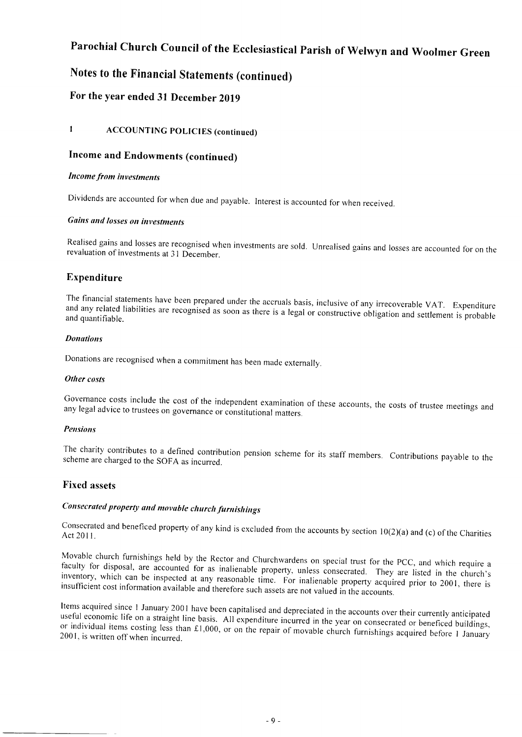## Notes to the Financial Statements (continued)

## For the year ended 31 December 2019

## I ACCOUNTING POLICIES (continued)

## Income and Endowments (continued)

#### Income from investments

Dividends are accounted for when due and payable. Interest is accounted for when received.

### Gains and losses on inveslments

Realised gains and losses are recognised when investments are sold. Unrealised gains and losses are accounted for on the revaluation of investments at 31 December.

## Expenditure

The financial statements have been prepared under the accruals basis, inclusive of any irrecoverable VAT. Expenditure Ine financial statements have been prepared under the accruals basis, inclusive of any irrecoverable VAT. Expenditure<br>and any related liabilities are recognised as soon as there is a legal or constructive obligation and se and quantifiable.

#### Donations

Donations are recognised when a commitment has been made externally.

#### Other costs

Governance costs include the cost of the independent examination of these accounts, the costs of trustee meetings and<br>any legal advice to trustees on governance on court of the state of these accounts, the costs of trustee any Iegal advice to trustees on governance or constitutional matters.

#### Pensions

The charity contributes to a defined contribution pension scheme for its staff members. Contributions payable to the<br>scheme are charged to the SOEA as inquired scheme are charged to the SOFA as incurred.

### Fixed assets

## Consecrated property and movable church furnishings

Consecrated and beneficed property of any kind is excluded from the accounts by section 10(2)(a) and (c) of the Charities<br>Act 2011 Act 201 l.

Movable church furnishings held by the Rector and Churchwardens on special trust for the PCC, and which require a faculty for disposal, are accounted for as inalienable property, unless consecrated. They are listed in the insufficient cost information available and therefore such assets are not valued in the accounts. inventory, which can be inspected at any reasonable time. For inalienable property acquired prior to 2001, there is

useful Items acquired since 1 January 2001 have been capitalised and depreciated in the accounts over their currently anticipated<br>useful economic life on a straight line basis. All expenditure incurred in the year on consecrated or individual items costing less than £1,000, or on the repair of movable church furnishings acquired before 1 January 2001, is written off when incurred.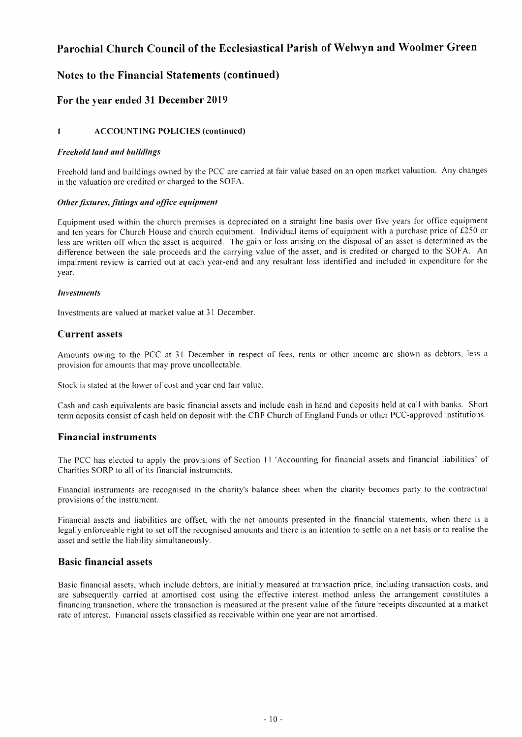## Notes to the Financial Statements (continued)

## For the year ended 3l December 2019

### I ACCOUNTING POLICIES (continued)

#### Freehold land and buildings

Freehold land and buildings owned by the PCC are carried at fair value based on an open market valuation. Any changes in the valuation are credited or charged to the SOFA.

#### Other fixtures, fittings and office equipment

Equipment used within the church premises is depreciated on a straight line basis over five years for office equipment and ten years for Church House and church equipment. Individual items of equipment with a purchase price of £250 or less are written off when the asset is acquired. The gain or loss arising on the disposal of an asset is determined as the difference between the sale proceeds and the canying value of the asset, and is credited or charged to the SOFA. An impairment review is carried out at each year-end and any resultant loss identified and included in expenditure for the year.

#### **Investments**

lnvestments are valued at market value at 31 December.

### Current assets

Amounts owing to the PCC at 31 December in respect of fees, rents or other income are shown as debtors, less a provision for amounts that may prove uncollectable.

Stock is stated at the lower of cost and year end fair value.

Cash and cash equivalents are basic financial assets and include cash in hand and deposits held at call with banks. Shotl rerm deposits consist of cash held on deposit with the CBF Church of England Funds or other PCC-approved institutions.

### Financial instruments

The PCC has elected to apply the provisions of Section 11 'Accounting for financial assets and financial liabilities' of Charities SORP to all of its financial instruments.

Financial instruments are recognised in the charity's balance sheet when the charity becomes party to the contractual provisions of the instrument.

Financial assets and liabilities are offset, with the net amounts presented in the financial statements, when there is a legally enforceable right to set off the recognised amounts and there is an intention to settle on a net basis or to realise the asset and settle the liability simultaneously.

### Basic financial assets

Basic financial assets, which include debtors, are initially measured at transaction price, including transaction costs, and are subsequently carried at amortised cost using the effective interest method unless the arrangement constitutes a financing transaction, where the transaction is measured at the present value of the future receipts discounted at a market rate of interest. Financial assets classified as receivable within one year are not amortised.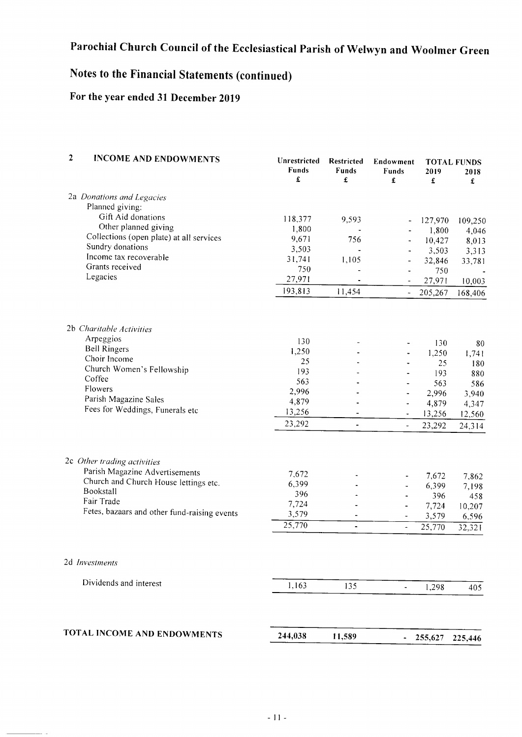## Notes to the Financial Statements (continued)

## For the year ended 31 December 2019

| $\overline{2}$ | <b>INCOME AND ENDOWMENTS</b>                                  | Unrestricted<br>Funds<br>£ | Restricted<br>Funds<br>£ | Endowment<br><b>Funds</b><br>£ | 2019<br>£ | <b>TOTAL FUNDS</b><br>2018<br>£ |
|----------------|---------------------------------------------------------------|----------------------------|--------------------------|--------------------------------|-----------|---------------------------------|
|                | 2a Donations and Legacies                                     |                            |                          |                                |           |                                 |
|                | Planned giving:                                               |                            |                          |                                |           |                                 |
|                | Gift Aid donations                                            | 118,377                    | 9,593                    |                                | 127,970   | 109,250                         |
|                | Other planned giving                                          | 1,800                      |                          |                                | 1,800     | 4,046                           |
|                | Collections (open plate) at all services                      | 9,671                      | 756                      | $\ddot{\phantom{0}}$           | 10,427    | 8,013                           |
|                | Sundry donations<br>Income tax recoverable                    | 3,503                      |                          | ٠                              | 3,503     | 3,313                           |
|                | Grants received                                               | 31,741                     | 1,105                    | $\qquad \qquad \blacksquare$   | 32,846    | 33,781                          |
|                | Legacies                                                      | 750                        |                          | $\blacksquare$                 | 750       |                                 |
|                |                                                               | 27,971                     |                          | $\overline{\phantom{a}}$       | 27,971    | 10,003                          |
|                |                                                               | 193,813                    | 11,454                   | $\blacksquare$                 | 205,267   | 168,406                         |
|                | 2b Charitable Activities                                      |                            |                          |                                |           |                                 |
|                | Arpeggios                                                     | 130                        |                          | $\overline{\phantom{a}}$       | 130       | 80                              |
|                | <b>Bell Ringers</b>                                           | 1,250                      |                          | $\qquad \qquad \blacksquare$   | 1,250     | 1,741                           |
|                | Choir Income                                                  | 25                         |                          | ٠                              | 25        | 180                             |
|                | Church Women's Fellowship<br>Coffee                           | 193                        |                          | $\overline{\phantom{a}}$       | 193       | 880                             |
|                | Flowers                                                       | 563                        |                          | $\blacksquare$                 | 563       | 586                             |
|                | Parish Magazine Sales                                         | 2,996                      |                          | $\overline{\phantom{a}}$       | 2,996     | 3,940                           |
|                | Fees for Weddings, Funerals etc                               | 4,879                      |                          | $\qquad \qquad \blacksquare$   | 4,879     | 4,347                           |
|                |                                                               | 13,256                     | $\overline{\phantom{a}}$ | $\blacksquare$                 | 13,256    | 12,560                          |
|                |                                                               | 23,292                     | $\blacksquare$           | $\overline{\phantom{0}}$       | 23,292    | 24,314                          |
|                | 2c Other trading activities<br>Parish Magazine Advertisements |                            |                          |                                |           |                                 |
|                | Church and Church House lettings etc.                         | 7,672                      |                          |                                | 7,672     | 7,862                           |
|                | Bookstall                                                     | 6,399<br>396               |                          |                                | 6,399     | 7,198                           |
|                | Fair Trade                                                    | 7,724                      |                          |                                | 396       | 458                             |
|                | Fetes, bazaars and other fund-raising events                  | 3,579                      |                          |                                | 7,724     | 10,207                          |
|                |                                                               | 25,770                     | $\overline{a}$           |                                | 3,579     | 6,596                           |
|                |                                                               |                            | $\blacksquare$           | $\tilde{\phantom{a}}$          | 25,770    | 32,321                          |
|                | 2d Investments                                                |                            |                          |                                |           |                                 |
|                | Dividends and interest                                        | 1,163                      | 135                      | $\blacksquare$                 | 1,298     | 405                             |
|                |                                                               |                            |                          |                                |           |                                 |
|                | TOTAL INCOME AND ENDOWMENTS                                   | 244,038                    | 11,589                   | ٠                              | 255,627   | 225,446                         |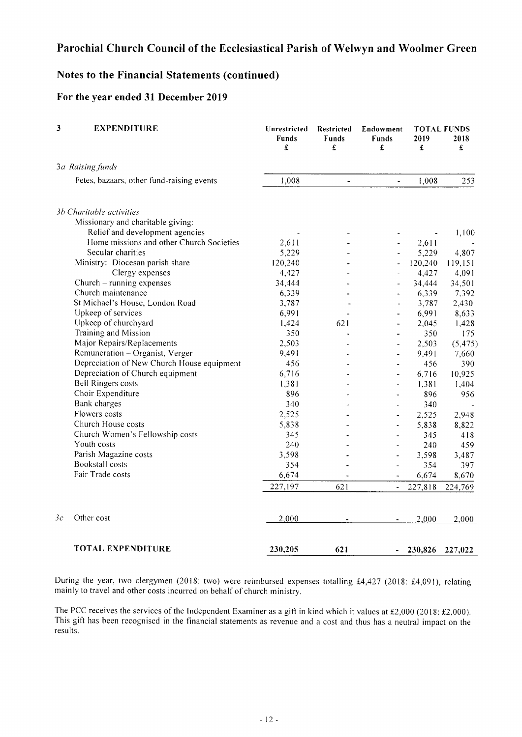## Notes to the Financial Statements (continued)

### For the year ended 31 December 2019

| 3  | <b>EXPENDITURE</b>                         | Unrestricted<br><b>Funds</b><br>£ | Restricted<br><b>Funds</b><br>£ | Endowment<br>Funds<br>£  | 2019<br>£ | <b>TOTAL FUNDS</b><br>2018<br>£ |
|----|--------------------------------------------|-----------------------------------|---------------------------------|--------------------------|-----------|---------------------------------|
|    | 3a Raising funds                           |                                   |                                 |                          |           |                                 |
|    | Fetes, bazaars, other fund-raising events  | 1,008                             | $\blacksquare$                  | ÷                        | 1,008     | 253                             |
|    | 3b Charitable activities                   |                                   |                                 |                          |           |                                 |
|    | Missionary and charitable giving:          |                                   |                                 |                          |           |                                 |
|    | Relief and development agencies            |                                   |                                 |                          |           | 1,100                           |
|    | Home missions and other Church Societies   | 2,611                             |                                 |                          | 2,611     |                                 |
|    | Secular charities                          | 5,229                             |                                 |                          | 5,229     | 4,807                           |
|    | Ministry: Diocesan parish share            | 120,240                           |                                 | $\overline{a}$           | 120,240   | 119,151                         |
|    | Clergy expenses                            | 4,427                             |                                 | $\ddot{\phantom{1}}$     | 4,427     | 4,091                           |
|    | Church $-$ running expenses                | 34,444                            |                                 | $\overline{a}$           | 34,444    | 34,501                          |
|    | Church maintenance                         | 6,339                             |                                 |                          | 6,339     | 7,392                           |
|    | St Michael's House, London Road            | 3,787                             |                                 | $\frac{1}{2}$            | 3,787     | 2,430                           |
|    | Upkeep of services                         | 6,991                             |                                 | $\overline{\phantom{a}}$ | 6,991     | 8,633                           |
|    | Upkeep of churchyard                       | 1,424                             | 621                             | a,                       | 2,045     | 1,428                           |
|    | Training and Mission                       | 350                               |                                 | $\overline{\phantom{0}}$ | 350       | 175                             |
|    | Major Repairs/Replacements                 | 2,503                             |                                 | $\overline{\phantom{a}}$ | 2,503     | (5, 475)                        |
|    | Remuneration - Organist, Verger            | 9,491                             |                                 | $\overline{\phantom{0}}$ | 9,491     | 7,660                           |
|    | Depreciation of New Church House equipment | 456                               |                                 | ä,                       | 456       | 390                             |
|    | Depreciation of Church equipment           | 6,716                             |                                 | $\blacksquare$           | 6,716     | 10,925                          |
|    | <b>Bell Ringers costs</b>                  | 1,381                             |                                 | $\frac{1}{2}$            | 1,381     | 1,404                           |
|    | Choir Expenditure                          | 896                               |                                 | $\overline{a}$           | 896       | 956                             |
|    | Bank charges                               | 340                               |                                 |                          | 340       |                                 |
|    | Flowers costs                              | 2,525                             |                                 | $\overline{\phantom{a}}$ | 2,525     | 2,948                           |
|    | Church House costs                         | 5,838                             |                                 | $\overline{\phantom{a}}$ | 5,838     | 8,822                           |
|    | Church Women's Fellowship costs            | 345                               |                                 | $\blacksquare$           | 345       | 418                             |
|    | Youth costs                                | 240                               |                                 |                          | 240       | 459                             |
|    | Parish Magazine costs                      | 3,598                             |                                 | ٠                        | 3,598     | 3,487                           |
|    | Bookstall costs                            | 354                               |                                 | $\bar{a}$                | 354       | 397                             |
|    | Fair Trade costs                           | 6,674                             |                                 |                          | 6,674     | 8,670                           |
|    |                                            | 227,197                           | 621                             |                          | 227,818   | 224,769                         |
| 3с | Other cost                                 | 2,000                             |                                 |                          | 2,000     | 2,000                           |
|    | <b>TOTAL EXPENDITURE</b>                   | 230,205                           | 621                             |                          | 230,826   | 227,022                         |

During the year, two clergymen (2018: two) were reimbursed expenses totalling £4,427 (2018: £4,091), relating mainly to travel and other costs incurred on behalf of church ministry.

The PCC receives the services of the Independent Examiner as a gift in kind which it values at £2,000 (2018: £2,000). This gift has been recognised in the financial statements as revenue and a cost and thus has a neutral impact on the results.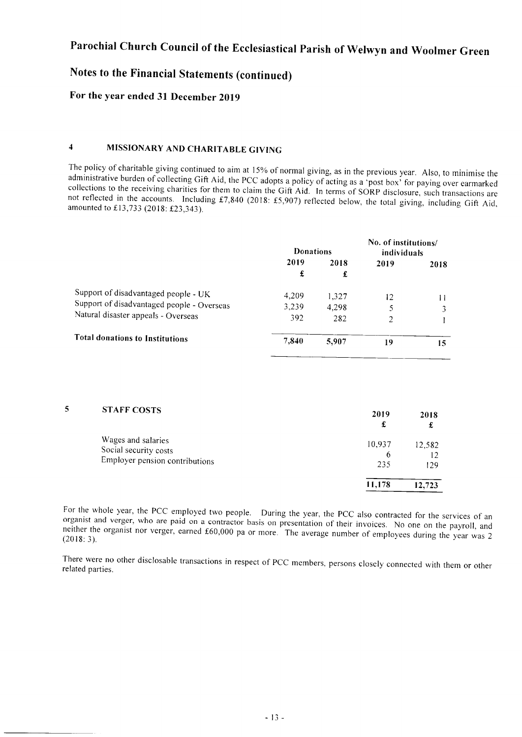## Notes to the Financial Statements (continued)

## For the year ended 31 December 2019

5

## 4 MISSIONARY AND CHARITABLE GIVING

The policy of charitable giving continued to aim at 15% of normal giving, as in the previous year. Also, to minimise the administrative burden of collecting Gift Aid, the PCC adopts a policy of acting as a 'post box' for

|                                            | <b>Donations</b> |       | No. of institutions/<br>individuals |      |
|--------------------------------------------|------------------|-------|-------------------------------------|------|
|                                            | 2019             | 2018  | 2019                                | 2018 |
|                                            | £                | £     |                                     |      |
| Support of disadvantaged people - UK       | 4.209            | 1,327 | 12                                  |      |
| Support of disadvantaged people - Overseas | 3,239            | 4.298 |                                     | 3    |
| Natural disaster appeals - Overseas        | 392              | 282   | $\overline{2}$                      |      |
| <b>Total donations to Institutions</b>     | 7,840            | 5,907 | 19                                  | 15   |

| <b>STAFF COSTS</b>             | 2019<br>£ | 2018   |
|--------------------------------|-----------|--------|
| Wages and salaries             | 10,937    | 12,582 |
| Social security costs          | 6         | 12     |
| Employer pension contributions | 235       | 129    |
|                                | 11.178    | 12,723 |
|                                |           |        |

For the whole year, the PCC employed two people. During the year, the PCC also contracted for the services of an organist and verger, who are paid on a contractor basis on presentation of their invoices. No one on the pay

There were no other disclosable transactions in respect of PCC members, persons closely connected with them or other related parties.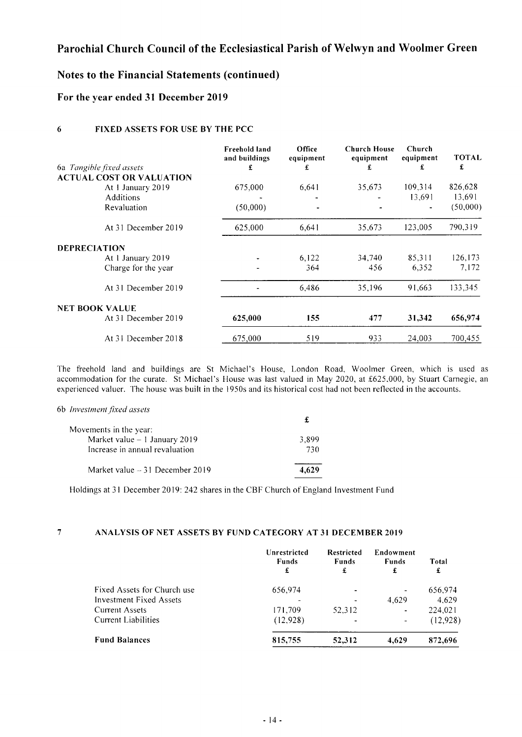## Notes to the Financial Statements (continued)

### For the year ended 3l December 2019

#### 6 FIXED ASSETS FOR USE BY THE PCC

|                          |                                 | Freehold land<br>and buildings | Office<br>equipment | <b>Church House</b><br>equipment | Church<br>equipment | <b>TOTAL</b> |
|--------------------------|---------------------------------|--------------------------------|---------------------|----------------------------------|---------------------|--------------|
| 6a Tangible fixed assets |                                 | £                              | £                   | £                                | £                   | £            |
|                          | <b>ACTUAL COST OR VALUATION</b> |                                |                     |                                  |                     |              |
|                          | At 1 January 2019               | 675,000                        | 6,641               | 35,673                           | 109,314             | 826,628      |
|                          | Additions                       |                                |                     |                                  | 13,691              | 13,691       |
|                          | Revaluation                     | (50,000)                       |                     |                                  |                     | (50,000)     |
|                          | At 31 December 2019             | 625,000                        | 6,641               | 35.673                           | 123,005             | 790,319      |
| <b>DEPRECIATION</b>      |                                 |                                |                     |                                  |                     |              |
|                          | At 1 January 2019               |                                | 6,122               | 34,740                           | 85,311              | 126,173      |
|                          | Charge for the year             |                                | 364                 | 456                              | 6,352               | 7.172        |
|                          | At 31 December 2019             |                                | 6.486               | 35,196                           | 91.663              | 133,345      |
| <b>NET BOOK VALUE</b>    |                                 |                                |                     |                                  |                     |              |
|                          | At 31 December 2019             | 625,000                        | 155                 | 477                              | 31,342              | 656,974      |
|                          | At 31 December 2018             | 675,000                        | 519                 | 933                              | 24,003              | 700,455      |

The fieehold land and buildings are St Michael's House, London Road, Woolmer Green, which is used as accommodation for the curate. St Michael's House was last valued in May 2020, at £625,000, by Stuart Carnegie, an experienced valuer. The house was built in the I 950s and its historical cost had not been reflected in the accounts.

#### 6b Investment fixed assets

| Movements in the year:           |       |
|----------------------------------|-------|
| Market value $-1$ January 2019   | 3.899 |
| Increase in annual revaluation   | 730   |
| Market value $-31$ December 2019 | 4.629 |

Holdings at 31 December 2019: 242 shares in the CBF Church of England Investment Fund

#### ANALYSIS OF NET ASSETS BY FUND CATEGORY AT 3I DECEMBER 20I9  $\overline{7}$

|                             | Unrestricted<br><b>Funds</b><br>£ | <b>Restricted</b><br><b>Funds</b><br>£ | Endowment<br><b>Funds</b><br>£ | Total<br>£ |
|-----------------------------|-----------------------------------|----------------------------------------|--------------------------------|------------|
| Fixed Assets for Church use | 656,974                           |                                        |                                | 656,974    |
| Investment Fixed Assets     |                                   |                                        | 4,629                          | 4,629      |
| <b>Current Assets</b>       | 171.709                           | 52.312                                 |                                | 224,021    |
| Current Liabilities         | (12, 928)                         |                                        |                                | (12,928)   |
| <b>Fund Balances</b>        | 815,755                           | 52,312                                 | 4,629                          | 872,696    |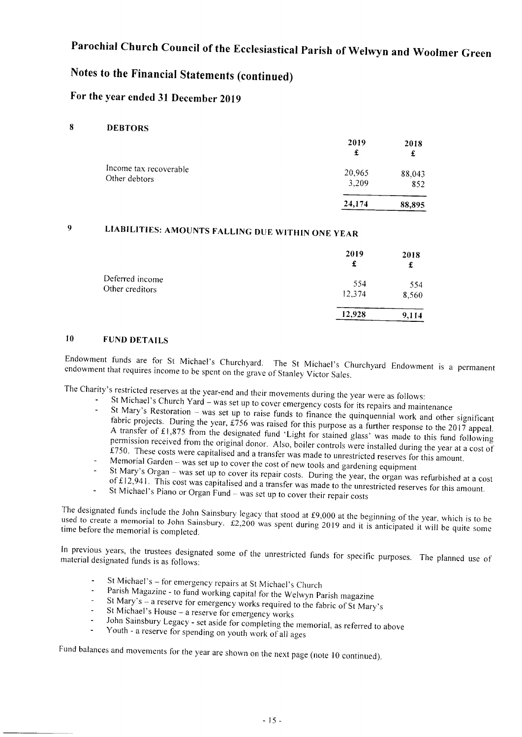## Notes to the Financial Statements (continued)

## For the year ended 31 December 2019

#### 8 DEBTORS

|                                         | 2019<br>£       | 2018          |
|-----------------------------------------|-----------------|---------------|
| Income tax recoverable<br>Other debtors | 20,965<br>3,209 | 88,043<br>852 |
|                                         | 24,174          | 88,895        |

#### $\mathbf{Q}$ LIABILITIES: AMOUNTS FALLING DUE WITHIN oNE YEAR

|                                    | 2019<br>£     | 2018<br>£    |
|------------------------------------|---------------|--------------|
| Deferred income<br>Other creditors | 554<br>12,374 | 554<br>8,560 |
|                                    | 12,928        | 9,114        |

## IO FUND DETAILS

endowment that requires income to be spent on the grave of Stanley Victor Sales. Endowment funds are for St Michael's Churchyard. The St Michael's Churchyard Endowment is a permanent

- 
- The Charity's restricted reserves at the year-end and their movements during the year were as follows:<br>- St Michael's Church Yard was set up to cover emergency costs for its repairs and maintenance<br>- St Mary's Restoratio A transfer of £1,875 from the designated fund 'Light for stained glass' was made to this fund following fabric projects. During the year,  $\pounds 756$  was raised for this purpose as a further response to the 2017 appeal. petmission A transfer of £1,875 from the designated fund 'Light for stained glass' was made to this fund following<br>permission received from the original donor. Also, boiler controls were installed during the year at a cost of<br>£750.
	-
	-
	- of £12,941. This cost was capitalised and a transfer was made to the unrestricted reserves for this amount<br>St Michael's Piano or Organ Fund was set up to cover their repair costs St Mary's Organ -- was set up to cover the cost of new tools and gardening equipment<br>St Mary's Organ -- was set up to cover its repair costs. During the year, the organ was refurbished at a cost<br>of £12,941. This cost was c
	- -

used to create a memorial to John Sainsbury. £2,200 was spent during 2019 and it is anticipated it will be quite some<br>time before the memorial is completed. The designated funds include the John Sainsbury legacy that stood at £9,000 at the beginning of the year, which is to be<br>used to create a memorial to John Sainsbury 62,200 was speed 1.1.2.200.201 time before the memorial is completed.

In previous years, the trustees designated some of the unrestricted funds for specific purposes. The planned use of material designated funds is as follows:

- St Michael's for emergency repairs at St Michael's Church
- Parish Magazine to fund working capital for the Welwyn Parish magazine
- St Mary's a reserve for emergency works required to the fabric of St Mary's St Michael's House a reserve for emergency works
- 
- John Sainsbury Legacy set aside for completing the memorial, as referred to above Youth a reserve for spending on youth work of all ages
- 

Fund balances and movements for the year are shown on the next page (note 10 continued).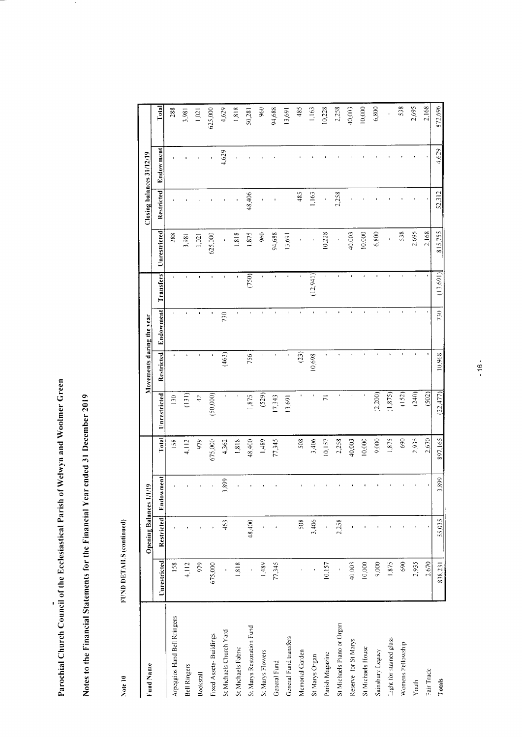Notes to the Financial Statements for the Financial Year ended 31 December 2019

 $\bullet$ 

FUND DETAILS (continued) Note 10

|                              |              |                         |               |         |                    |                           |                |              |                     |                   | Closing balances 31/12/19 |         |
|------------------------------|--------------|-------------------------|---------------|---------|--------------------|---------------------------|----------------|--------------|---------------------|-------------------|---------------------------|---------|
| Fund Name                    |              | Opening Balances 1/1/19 |               |         |                    | Movements during the year |                |              |                     |                   |                           |         |
|                              | Unrestricted | Restricted              | Endowment     | Total   | Unrestricted       | Restricted                | Endowment      | Transfers    | <b>Unrestricted</b> | <b>Restricted</b> | Endowment                 | Total   |
| Arpeggios Hand Bell Rringers | 158          |                         |               | 158     | 130                | $\pmb{\cdot}$             | $\mathbf{I}$   | $\mathbf{r}$ | 288                 |                   |                           | 288     |
| Bell Ringers                 | 4,112        |                         |               | 4,112   | $\left(131\right)$ |                           | $\blacksquare$ | $\mathbf{I}$ | 3,981               |                   |                           | 3,981   |
| Bookstall                    | 979          |                         |               | 979     | $\overline{c}$     |                           |                |              | 1,021               |                   |                           | 1,021   |
| Fixed Assets- Buildings      | 675,000      |                         |               | 675,000 | 50,000)            |                           |                |              | 625,000             |                   |                           | 625,000 |
| St Michaels Church Yard      |              | 463                     | 899<br>$\sim$ | 4,362   |                    | (463)                     | 730            |              |                     |                   | 4,629                     | 4,629   |
| St Michaels Fabric           | 1,818        |                         |               | 1,818   |                    |                           |                |              | 1,818               |                   |                           | 1,818   |
| St Marys Restoration Fund    |              | 48,400                  |               | 48,400  | 1,875              | 756                       |                | (750)        | 1,875               | 48,406            |                           | 50,281  |
| St Marys Flowers             | 1,489        |                         |               | 1,489   | (529)              |                           |                |              | 960                 |                   |                           | 960     |
| General Fund                 | 77,345       |                         |               | 77,345  | 17,343             |                           |                |              | 94,688              |                   |                           | 94,688  |
| General Fund transfers       |              |                         |               |         | 13,691             |                           |                |              | 13,691              |                   |                           | 13,691  |
| Memorial Garden              |              | 508                     |               | 508     |                    | (23)                      |                |              |                     | 485               |                           | 485     |
| St Marys Organ               |              | 3,406                   |               | 3,406   | ł                  | 10,698                    |                | (12,941)     |                     | 1,163             |                           | 1,163   |
| Parish Magazine              | 10.157       |                         |               | 10,157  | $\overline{7}$     |                           |                |              | 10,228              |                   |                           | 10,228  |
| St Michaels Piano or Organ   |              | 2.258                   |               | 2,258   |                    |                           |                |              |                     | 2,258             |                           | 2,258   |
| Reserve for St Marys         | 40,003       |                         |               | 40,003  | ï                  |                           |                |              | 40,003              |                   |                           | 40,003  |
| St Michaels House            | 10,000       |                         |               | 10,000  |                    |                           |                |              | 10,000              |                   |                           | 10,000  |
| Sainsbury Legacy             | 9,000        |                         |               | 9,000   | (2,200)            |                           |                |              | 6,800               |                   |                           | 6,800   |
| Light for stained glass      | 1.875        |                         |               | 1,875   | (1, 875)           |                           |                |              |                     |                   |                           |         |
| Womens Fellowship            | 690          |                         |               | 690     | (152)              |                           |                |              | 538                 |                   |                           | 538     |
| Youth                        | 2,935        |                         |               | 2,935   | (240)              |                           |                |              | 2,695               |                   |                           | 2,695   |
| Fair Trade                   | 2,670        |                         |               | 2,670   | (502)              |                           |                |              | 2,168               |                   |                           | 2,168   |
| Totals                       | 838,231      | 55,035                  | 3.899         | 897,165 | (22, 477)          | 10,968                    | 730            | (13,691)     | 815,755             | 52,312            | 4.629                     | 872,696 |